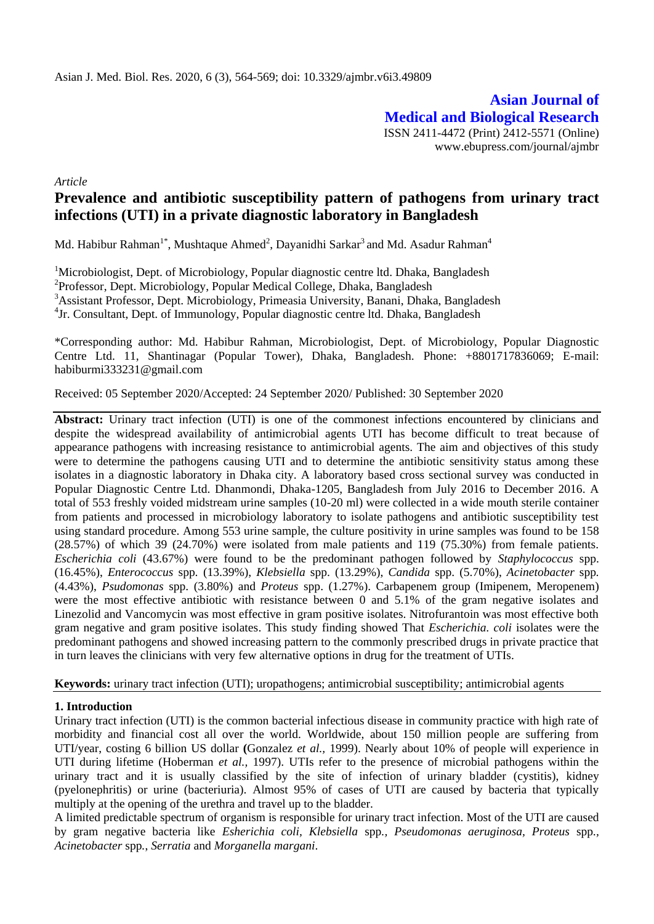**Asian Journal of Medical and Biological Research** ISSN 2411-4472 (Print) 2412-5571 (Online) www.ebupress.com/journal/ajmbr

*Article*

# **Prevalence and antibiotic susceptibility pattern of pathogens from urinary tract infections (UTI) in a private diagnostic laboratory in Bangladesh**

Md. Habibur Rahman<sup>1\*</sup>, Mushtaque Ahmed<sup>2</sup>, Dayanidhi Sarkar<sup>3</sup> and Md. Asadur Rahman<sup>4</sup>

<sup>1</sup>Microbiologist, Dept. of Microbiology, Popular diagnostic centre ltd. Dhaka, Bangladesh <sup>2</sup> Professor, Dept. Microbiology, Popular Medical College, Dhaka, Bangladesh <sup>3</sup>Assistant Professor, Dept. Microbiology, Primeasia University, Banani, Dhaka, Bangladesh <sup>4</sup>Jr. Consultant, Dept. of Immunology, Popular diagnostic centre ltd. Dhaka, Bangladesh

\*Corresponding author: Md. Habibur Rahman, Microbiologist, Dept. of Microbiology, Popular Diagnostic Centre Ltd. 11, Shantinagar (Popular Tower), Dhaka, Bangladesh. Phone: +8801717836069; E-mail: habiburmi333231@gmail.com

Received: 05 September 2020/Accepted: 24 September 2020/ Published: 30 September 2020

Abstract: Urinary tract infection (UTI) is one of the commonest infections encountered by clinicians and despite the widespread availability of antimicrobial agents UTI has become difficult to treat because of appearance pathogens with increasing resistance to antimicrobial agents. The aim and objectives of this study were to determine the pathogens causing UTI and to determine the antibiotic sensitivity status among these isolates in a diagnostic laboratory in Dhaka city. A laboratory based cross sectional survey was conducted in Popular Diagnostic Centre Ltd. Dhanmondi, Dhaka-1205, Bangladesh from July 2016 to December 2016. A total of 553 freshly voided midstream urine samples (10-20 ml) were collected in a wide mouth sterile container from patients and processed in microbiology laboratory to isolate pathogens and antibiotic susceptibility test using standard procedure. Among 553 urine sample, the culture positivity in urine samples was found to be 158 (28.57%) of which 39 (24.70%) were isolated from male patients and 119 (75.30%) from female patients. *Escherichia coli* (43.67%) were found to be the predominant pathogen followed by *Staphylococcus* spp. (16.45%), *Enterococcus* spp*.* (13.39%), *Klebsiella* spp. (13.29%), *Candida* spp. (5.70%), *Acinetobacter* spp*.* (4.43%), *Psudomonas* spp. (3.80%) and *Proteus* spp. (1.27%). Carbapenem group (Imipenem, Meropenem) were the most effective antibiotic with resistance between 0 and 5.1% of the gram negative isolates and Linezolid and Vancomycin was most effective in gram positive isolates. Nitrofurantoin was most effective both gram negative and gram positive isolates. This study finding showed That *Escherichia. coli* isolates were the predominant pathogens and showed increasing pattern to the commonly prescribed drugs in private practice that in turn leaves the clinicians with very few alternative options in drug for the treatment of UTIs.

**Keywords:** urinary tract infection (UTI); uropathogens; antimicrobial susceptibility; antimicrobial agents

#### **1. Introduction**

Urinary tract infection (UTI) is the common bacterial infectious disease in community practice with high rate of morbidity and financial cost all over the world. Worldwide, about 150 million people are suffering from UTI/year, costing 6 billion US dollar **(**Gonzalez *et al.,* 1999). Nearly about 10% of people will experience in UTI during lifetime (Hoberman *et al.,* 1997). UTIs refer to the presence of microbial pathogens within the urinary tract and it is usually classified by the site of infection of urinary bladder (cystitis), kidney (pyelonephritis) or urine (bacteriuria). Almost 95% of cases of UTI are caused by bacteria that typically multiply at the opening of the urethra and travel up to the bladder.

A limited predictable spectrum of organism is responsible for urinary tract infection. Most of the UTI are caused by gram negative bacteria like *Esherichia coli, Klebsiella* spp*., Pseudomonas aeruginosa, Proteus* spp*., Acinetobacter* spp*.*, *Serratia* and *Morganella margani*.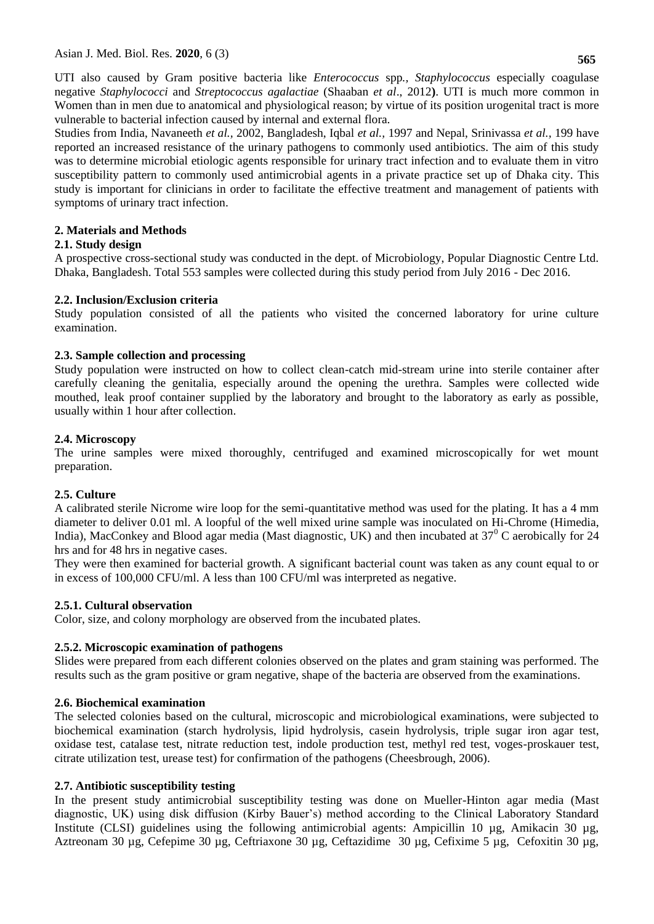UTI also caused by Gram positive bacteria like *Enterococcus* spp*., Staphylococcus* especially coagulase negative *Staphylococci* and *Streptococcus agalactiae* (Shaaban *et al*., 2012**)**. UTI is much more common in Women than in men due to anatomical and physiological reason; by virtue of its position urogenital tract is more vulnerable to bacterial infection caused by internal and external flora.

Studies from India, Navaneeth *et al.,* 2002, Bangladesh, Iqbal *et al.,* 1997 and Nepal, Srinivassa *et al.,* 199 have reported an increased resistance of the urinary pathogens to commonly used antibiotics. The aim of this study was to determine microbial etiologic agents responsible for urinary tract infection and to evaluate them in vitro susceptibility pattern to commonly used antimicrobial agents in a private practice set up of Dhaka city. This study is important for clinicians in order to facilitate the effective treatment and management of patients with symptoms of urinary tract infection.

### **2. Materials and Methods**

### **2.1. Study design**

A prospective cross-sectional study was conducted in the dept. of Microbiology, Popular Diagnostic Centre Ltd. Dhaka, Bangladesh. Total 553 samples were collected during this study period from July 2016 - Dec 2016.

### **2.2. Inclusion/Exclusion criteria**

Study population consisted of all the patients who visited the concerned laboratory for urine culture examination.

### **2.3. Sample collection and processing**

Study population were instructed on how to collect clean-catch mid-stream urine into sterile container after carefully cleaning the genitalia, especially around the opening the urethra. Samples were collected wide mouthed, leak proof container supplied by the laboratory and brought to the laboratory as early as possible, usually within 1 hour after collection.

### **2.4. Microscopy**

The urine samples were mixed thoroughly, centrifuged and examined microscopically for wet mount preparation.

#### **2.5. Culture**

A calibrated sterile Nicrome wire loop for the semi-quantitative method was used for the plating. It has a 4 mm diameter to deliver 0.01 ml. A loopful of the well mixed urine sample was inoculated on Hi-Chrome (Himedia, India), MacConkey and Blood agar media (Mast diagnostic, UK) and then incubated at  $37^{\circ}$ C aerobically for 24 hrs and for 48 hrs in negative cases.

They were then examined for bacterial growth. A significant bacterial count was taken as any count equal to or in excess of 100,000 CFU/ml. A less than 100 CFU/ml was interpreted as negative.

#### **2.5.1. Cultural observation**

Color, size, and colony morphology are observed from the incubated plates.

#### **2.5.2. Microscopic examination of pathogens**

Slides were prepared from each different colonies observed on the plates and gram staining was performed. The results such as the gram positive or gram negative, shape of the bacteria are observed from the examinations.

#### **2.6. Biochemical examination**

The selected colonies based on the cultural, microscopic and microbiological examinations, were subjected to biochemical examination (starch hydrolysis, lipid hydrolysis, casein hydrolysis, triple sugar iron agar test, oxidase test, catalase test, nitrate reduction test, indole production test, methyl red test, voges-proskauer test, citrate utilization test, urease test) for confirmation of the pathogens (Cheesbrough, 2006).

#### **2.7. Antibiotic susceptibility testing**

In the present study antimicrobial susceptibility testing was done on Mueller-Hinton agar media (Mast diagnostic, UK) using disk diffusion (Kirby Bauer's) method according to the Clinical Laboratory Standard Institute (CLSI) guidelines using the following antimicrobial agents: Ampicillin 10 µg, Amikacin 30 µg, Aztreonam 30 µg, Cefepime 30 µg, Ceftriaxone 30 µg, Ceftazidime 30 µg, Cefixime 5 µg, Cefoxitin 30 µg,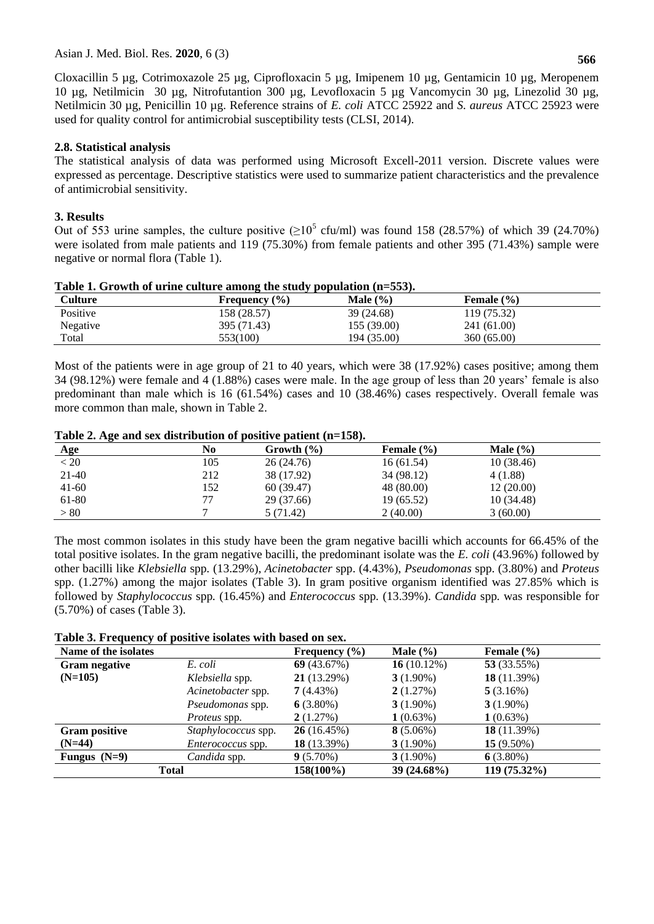Cloxacillin 5 µg, Cotrimoxazole 25 µg, Ciprofloxacin 5 µg, Imipenem 10 µg, Gentamicin 10 µg, Meropenem 10 µg, Netilmicin 30 µg, Nitrofutantion 300 µg, Levofloxacin 5 µg Vancomycin 30 µg, Linezolid 30 µg, Netilmicin 30 µg, Penicillin 10 µg. Reference strains of *E. coli* ATCC 25922 and *S. aureus* ATCC 25923 were used for quality control for antimicrobial susceptibility tests (CLSI, 2014).

#### **2.8. Statistical analysis**

The statistical analysis of data was performed using Microsoft Excell-2011 version. Discrete values were expressed as percentage. Descriptive statistics were used to summarize patient characteristics and the prevalence of antimicrobial sensitivity.

### **3. Results**

Out of 553 urine samples, the culture positive  $(\geq 10^5 \text{ cfu/ml})$  was found 158 (28.57%) of which 39 (24.70%) were isolated from male patients and 119 (75.30%) from female patients and other 395 (71.43%) sample were negative or normal flora (Table 1).

|                 | Table 1. STOWER OF BETHE CHRIST AMONG THE STAY POPURATOR (H-COO). |              |                |  |
|-----------------|-------------------------------------------------------------------|--------------|----------------|--|
| Culture         | Frequency $(\% )$                                                 | Male $(\% )$ | Female $(\% )$ |  |
| Positive        | 158 (28.57)                                                       | 39 (24.68)   | 119 (75.32)    |  |
| <b>Negative</b> | 395 (71.43)                                                       | 155 (39.00)  | 241 (61.00)    |  |
| Total           | 553(100)                                                          | 194 (35.00)  | 360 (65.00)    |  |

## **Table 1. Growth of urine culture among the study population (n=553).**

Most of the patients were in age group of 21 to 40 years, which were 38 (17.92%) cases positive; among them 34 (98.12%) were female and 4 (1.88%) cases were male. In the age group of less than 20 years' female is also predominant than male which is 16 (61.54%) cases and 10 (38.46%) cases respectively. Overall female was more common than male, shown in Table 2.

|  |  |  |  |  | Table 2. Age and sex distribution of positive patient (n=158). |
|--|--|--|--|--|----------------------------------------------------------------|
|  |  |  |  |  |                                                                |

|            |     | THEY IS THEY WILL DUTE CHOILING WITH THE PODDER TO DEVICAL THE TOUR. |                |              |  |
|------------|-----|----------------------------------------------------------------------|----------------|--------------|--|
| <b>Age</b> | No  | Growth $(\% )$                                                       | Female $(\% )$ | Male $(\% )$ |  |
| < 20       | 105 | 26 (24.76)                                                           | 16(61.54)      | 10(38.46)    |  |
| $21-40$    | 212 | 38 (17.92)                                                           | 34 (98.12)     | 4(1.88)      |  |
| $41-60$    | 152 | 60 (39.47)                                                           | 48 (80.00)     | 12(20.00)    |  |
| 61-80      |     | 29 (37.66)                                                           | 19 (65.52)     | 10 (34.48)   |  |
| > 80       | −   | 5 (71.42)                                                            | 2(40.00)       | 3(60.00)     |  |

The most common isolates in this study have been the gram negative bacilli which accounts for 66.45% of the total positive isolates. In the gram negative bacilli, the predominant isolate was the *E. coli* (43.96%) followed by other bacilli like *Klebsiella* spp*.* (13.29%), *Acinetobacter* spp. (4.43%), *Pseudomonas* spp. (3.80%) and *Proteus*  spp. (1.27%) among the major isolates (Table 3). In gram positive organism identified was 27.85% which is followed by *Staphylococcus* spp*.* (16.45%) and *Enterococcus* spp*.* (13.39%). *Candida* spp*.* was responsible for (5.70%) of cases (Table 3).

|  |  | Table 3. Frequency of positive isolates with based on sex. |  |  |  |  |  |  |  |
|--|--|------------------------------------------------------------|--|--|--|--|--|--|--|
|--|--|------------------------------------------------------------|--|--|--|--|--|--|--|

| Name of the isolates |                          | Frequency $(\% )$ | Male $(\% )$   | Female $(\% )$ |
|----------------------|--------------------------|-------------------|----------------|----------------|
| <b>Gram negative</b> | E. coli                  | 69 $(43.67%)$     | 16 $(10.12\%)$ | 53 (33.55%)    |
| $(N=105)$            | Klebsiella spp.          | 21(13.29%)        | $3(1.90\%)$    | 18 $(11.39%)$  |
|                      | Acinetobacter spp.       | 7(4.43%)          | 2(1.27%)       | 5(3.16%)       |
|                      | Pseudomonas spp.         | $6(3.80\%)$       | $3(1.90\%)$    | $3(1.90\%)$    |
|                      | <i>Proteus</i> spp.      | 2(1.27%)          | $1(0.63\%)$    | 1(0.63%)       |
| <b>Gram positive</b> | Staphylococcus spp.      | 26(16.45%)        | $8(5.06\%)$    | 18 $(11.39%)$  |
| $(N=44)$             | <i>Enterococcus</i> spp. | 18 (13.39%)       | $3(1.90\%)$    | $15(9.50\%)$   |
| Fungus $(N=9)$       | Candida spp.             | $9(5.70\%)$       | $3(1.90\%)$    | $6(3.80\%)$    |
|                      | <b>Total</b>             | 158(100%)         | 39 (24.68%)    | 119 (75.32%)   |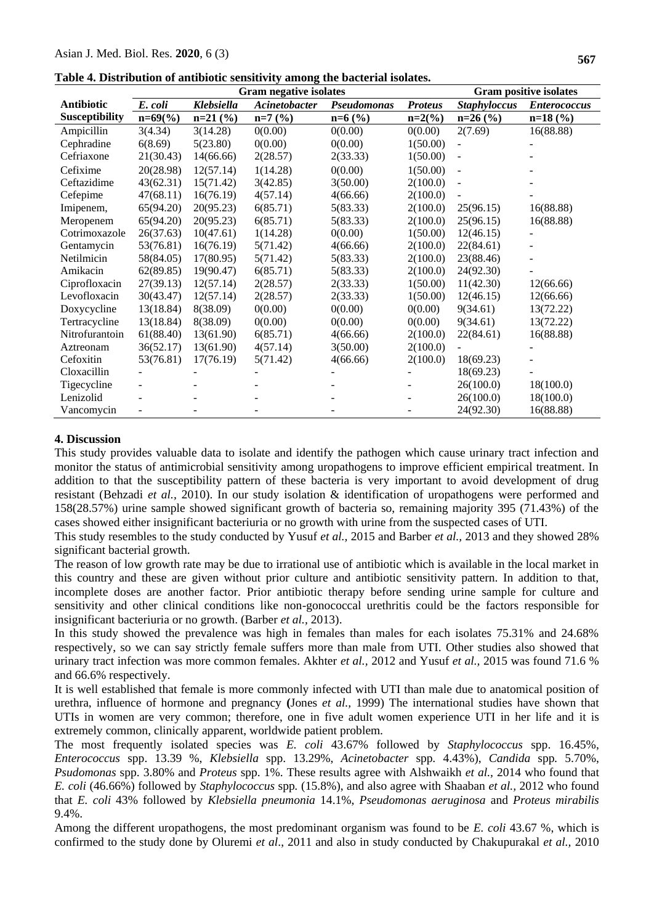|                   |             |            | <b>Gram negative isolates</b> |             |                |                          | <b>Gram positive isolates</b> |
|-------------------|-------------|------------|-------------------------------|-------------|----------------|--------------------------|-------------------------------|
| <b>Antibiotic</b> | E. coli     | Klebsiella | Acinetobacter                 | Pseudomonas | <b>Proteus</b> | <b>Staphyloccus</b>      | <b>Enterococcus</b>           |
| Susceptibility    | $n=69\,(%)$ | $n=21$ (%) | $n=7$ (%)                     | $n=6$ (%)   | $n=2(%)$       | $n=26$ (%)               | $n=18$ (%)                    |
| Ampicillin        | 3(4.34)     | 3(14.28)   | 0(0.00)                       | 0(0.00)     | 0(0.00)        | 2(7.69)                  | 16(88.88)                     |
| Cephradine        | 6(8.69)     | 5(23.80)   | 0(0.00)                       | 0(0.00)     | 1(50.00)       |                          |                               |
| Cefriaxone        | 21(30.43)   | 14(66.66)  | 2(28.57)                      | 2(33.33)    | 1(50.00)       | $\blacksquare$           |                               |
| Cefixime          | 20(28.98)   | 12(57.14)  | 1(14.28)                      | 0(0.00)     | 1(50.00)       | $\overline{\phantom{a}}$ |                               |
| Ceftazidime       | 43(62.31)   | 15(71.42)  | 3(42.85)                      | 3(50.00)    | 2(100.0)       | $\blacksquare$           |                               |
| Cefepime          | 47(68.11)   | 16(76.19)  | 4(57.14)                      | 4(66.66)    | 2(100.0)       |                          |                               |
| Imipenem,         | 65(94.20)   | 20(95.23)  | 6(85.71)                      | 5(83.33)    | 2(100.0)       | 25(96.15)                | 16(88.88)                     |
| Meropenem         | 65(94.20)   | 20(95.23)  | 6(85.71)                      | 5(83.33)    | 2(100.0)       | 25(96.15)                | 16(88.88)                     |
| Cotrimoxazole     | 26(37.63)   | 10(47.61)  | 1(14.28)                      | 0(0.00)     | 1(50.00)       | 12(46.15)                |                               |
| Gentamycin        | 53(76.81)   | 16(76.19)  | 5(71.42)                      | 4(66.66)    | 2(100.0)       | 22(84.61)                |                               |
| Netilmicin        | 58(84.05)   | 17(80.95)  | 5(71.42)                      | 5(83.33)    | 2(100.0)       | 23(88.46)                |                               |
| Amikacin          | 62(89.85)   | 19(90.47)  | 6(85.71)                      | 5(83.33)    | 2(100.0)       | 24(92.30)                |                               |
| Ciprofloxacin     | 27(39.13)   | 12(57.14)  | 2(28.57)                      | 2(33.33)    | 1(50.00)       | 11(42.30)                | 12(66.66)                     |
| Levofloxacin      | 30(43.47)   | 12(57.14)  | 2(28.57)                      | 2(33.33)    | 1(50.00)       | 12(46.15)                | 12(66.66)                     |
| Doxycycline       | 13(18.84)   | 8(38.09)   | 0(0.00)                       | 0(0.00)     | 0(0.00)        | 9(34.61)                 | 13(72.22)                     |
| Tertracycline     | 13(18.84)   | 8(38.09)   | 0(0.00)                       | 0(0.00)     | 0(0.00)        | 9(34.61)                 | 13(72.22)                     |
| Nitrofurantoin    | 61(88.40)   | 13(61.90)  | 6(85.71)                      | 4(66.66)    | 2(100.0)       | 22(84.61)                | 16(88.88)                     |
| Aztreonam         | 36(52.17)   | 13(61.90)  | 4(57.14)                      | 3(50.00)    | 2(100.0)       |                          |                               |
| Cefoxitin         | 53(76.81)   | 17(76.19)  | 5(71.42)                      | 4(66.66)    | 2(100.0)       | 18(69.23)                |                               |
| Cloxacillin       |             |            |                               |             |                | 18(69.23)                |                               |
| Tigecycline       |             |            |                               |             |                | 26(100.0)                | 18(100.0)                     |
| Lenizolid         |             |            |                               |             |                | 26(100.0)                | 18(100.0)                     |
| Vancomycin        |             |            |                               |             |                | 24(92.30)                | 16(88.88)                     |

| Table 4. Distribution of antibiotic sensitivity among the bacterial isolates. |
|-------------------------------------------------------------------------------|
|-------------------------------------------------------------------------------|

#### **4. Discussion**

This study provides valuable data to isolate and identify the pathogen which cause urinary tract infection and monitor the status of antimicrobial sensitivity among uropathogens to improve efficient empirical treatment. In addition to that the susceptibility pattern of these bacteria is very important to avoid development of drug resistant (Behzadi *et al.,* 2010). In our study isolation & identification of uropathogens were performed and 158(28.57%) urine sample showed significant growth of bacteria so, remaining majority 395 (71.43%) of the cases showed either insignificant bacteriuria or no growth with urine from the suspected cases of UTI.

This study resembles to the study conducted by Yusuf *et al.,* 2015 and Barber *et al.,* 2013 and they showed 28% significant bacterial growth.

The reason of low growth rate may be due to irrational use of antibiotic which is available in the local market in this country and these are given without prior culture and antibiotic sensitivity pattern. In addition to that, incomplete doses are another factor. Prior antibiotic therapy before sending urine sample for culture and sensitivity and other clinical conditions like non-gonococcal urethritis could be the factors responsible for insignificant bacteriuria or no growth. (Barber *et al.,* 2013).

In this study showed the prevalence was high in females than males for each isolates 75.31% and 24.68% respectively, so we can say strictly female suffers more than male from UTI. Other studies also showed that urinary tract infection was more common females. Akhter *et al.,* 2012 and Yusuf *et al.,* 2015 was found 71.6 % and 66.6% respectively.

It is well established that female is more commonly infected with UTI than male due to anatomical position of urethra, influence of hormone and pregnancy **(**Jones *et al.,* 1999) The international studies have shown that UTIs in women are very common; therefore, one in five adult women experience UTI in her life and it is extremely common, clinically apparent, worldwide patient problem.

The most frequently isolated species was *E. coli* 43.67% followed by *Staphylococcus* spp. 16.45%, *Enterococcus* spp. 13.39 %, *Klebsiella* spp. 13.29%, *Acinetobacter* spp*.* 4.43%), *Candida* spp*.* 5.70%, *Psudomonas* spp. 3.80% and *Proteus* spp. 1%. These results agree with Alshwaikh *et al.,* 2014 who found that *E. coli* (46.66%) followed by *Staphylococcus* spp*.* (15.8%), and also agree with Shaaban *et al.,* 2012 who found that *E. coli* 43% followed by *Klebsiella pneumonia* 14.1%, *Pseudomonas aeruginosa* and *Proteus mirabilis* 9.4%.

Among the different uropathogens, the most predominant organism was found to be *E. coli* 43.67 %, which is confirmed to the study done by Oluremi *et al*., 2011 and also in study conducted by Chakupurakal *et al.,* 2010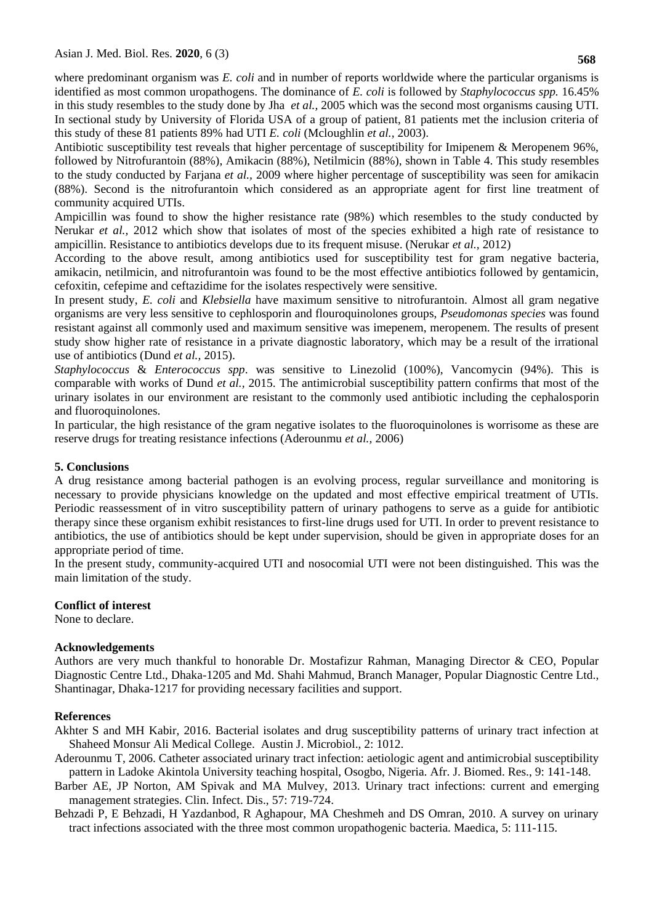where predominant organism was *E. coli* and in number of reports worldwide where the particular organisms is identified as most common uropathogens. The dominance of *E. coli* is followed by *Staphylococcus spp.* 16.45% in this study resembles to the study done by Jha *et al.,* 2005 which was the second most organisms causing UTI. In sectional study by University of Florida USA of a group of patient, 81 patients met the inclusion criteria of this study of these 81 patients 89% had UTI *E. coli* (Mcloughlin *et al.,* 2003).

Antibiotic susceptibility test reveals that higher percentage of susceptibility for Imipenem & Meropenem 96%, followed by Nitrofurantoin (88%), Amikacin (88%), Netilmicin (88%), shown in Table 4. This study resembles to the study conducted by Farjana *et al.,* 2009 where higher percentage of susceptibility was seen for amikacin (88%). Second is the nitrofurantoin which considered as an appropriate agent for first line treatment of community acquired UTIs.

Ampicillin was found to show the higher resistance rate (98%) which resembles to the study conducted by Nerukar *et al.,* 2012 which show that isolates of most of the species exhibited a high rate of resistance to ampicillin. Resistance to antibiotics develops due to its frequent misuse. (Nerukar *et al.,* 2012)

According to the above result, among antibiotics used for susceptibility test for gram negative bacteria, amikacin, netilmicin, and nitrofurantoin was found to be the most effective antibiotics followed by gentamicin, cefoxitin, cefepime and ceftazidime for the isolates respectively were sensitive.

In present study, *E. coli* and *Klebsiella* have maximum sensitive to nitrofurantoin. Almost all gram negative organisms are very less sensitive to cephlosporin and flouroquinolones groups, *Pseudomonas species* was found resistant against all commonly used and maximum sensitive was imepenem, meropenem. The results of present study show higher rate of resistance in a private diagnostic laboratory, which may be a result of the irrational use of antibiotics (Dund *et al.,* 2015).

*Staphylococcus* & *Enterococcus spp*. was sensitive to Linezolid (100%), Vancomycin (94%). This is comparable with works of Dund *et al.,* 2015. The antimicrobial susceptibility pattern confirms that most of the urinary isolates in our environment are resistant to the commonly used antibiotic including the cephalosporin and fluoroquinolones.

In particular, the high resistance of the gram negative isolates to the fluoroquinolones is worrisome as these are reserve drugs for treating resistance infections (Aderounmu *et al.,* 2006)

## **5. Conclusions**

A drug resistance among bacterial pathogen is an evolving process, regular surveillance and monitoring is necessary to provide physicians knowledge on the updated and most effective empirical treatment of UTIs. Periodic reassessment of in vitro susceptibility pattern of urinary pathogens to serve as a guide for antibiotic therapy since these organism exhibit resistances to first-line drugs used for UTI. In order to prevent resistance to antibiotics, the use of antibiotics should be kept under supervision, should be given in appropriate doses for an appropriate period of time.

In the present study, community-acquired UTI and nosocomial UTI were not been distinguished. This was the main limitation of the study.

## **Conflict of interest**

None to declare.

#### **Acknowledgements**

Authors are very much thankful to honorable Dr. Mostafizur Rahman, Managing Director & CEO, Popular Diagnostic Centre Ltd., Dhaka-1205 and Md. Shahi Mahmud, Branch Manager, Popular Diagnostic Centre Ltd., Shantinagar, Dhaka-1217 for providing necessary facilities and support.

#### **References**

Akhter S and MH Kabir, 2016. Bacterial isolates and drug susceptibility patterns of urinary tract infection at Shaheed Monsur Ali Medical College. Austin J. Microbiol., 2: 1012.

- Aderounmu T, 2006. Catheter associated urinary tract infection: aetiologic agent and antimicrobial susceptibility pattern in Ladoke Akintola University teaching hospital, Osogbo, Nigeria. Afr. J. Biomed. Res., 9: 141-148.
- Barber AE, JP Norton, AM Spivak and MA Mulvey, 2013. Urinary tract infections: current and emerging management strategies. Clin. Infect. Dis., 57: 719-724.
- Behzadi P, E Behzadi, H Yazdanbod, R Aghapour, MA Cheshmeh and DS Omran, 2010. A survey on urinary tract infections associated with the three most common uropathogenic bacteria. Maedica, 5: 111-115.